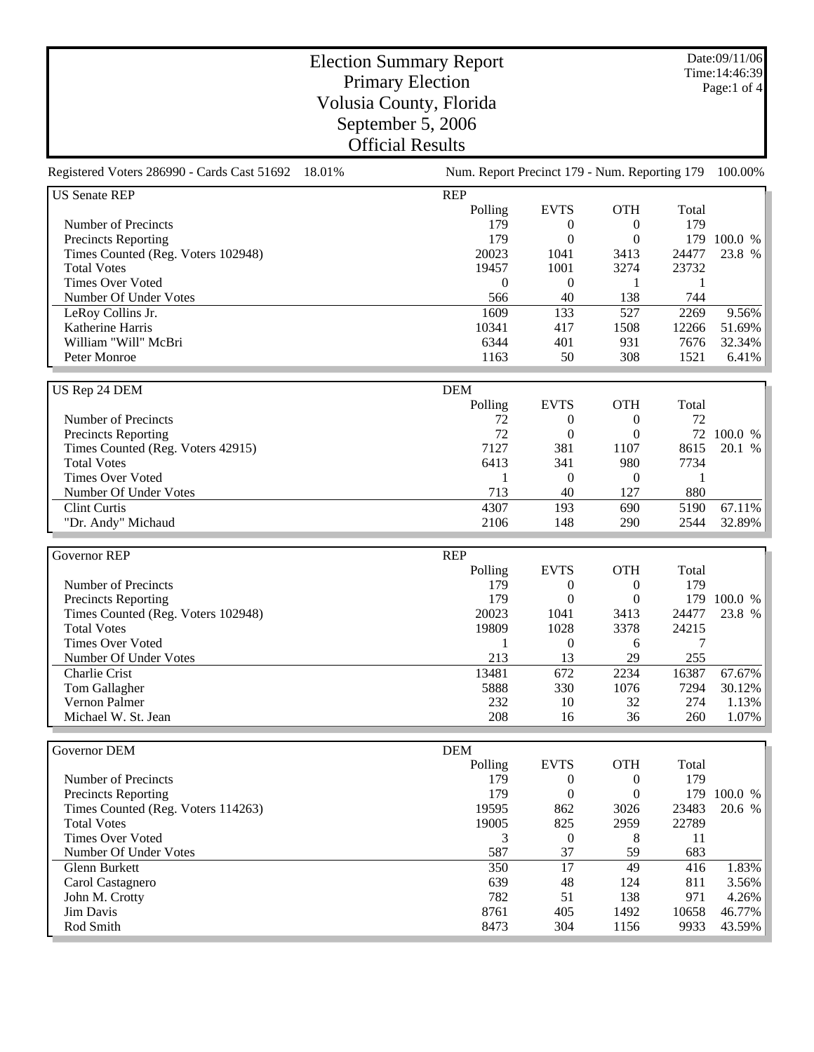Date:09/11/06 Time:14:46:39 Page:1 of 4

## Election Summary Report Primary Election Volusia County, Florida September 5, 2006 Official Results

| 18.01%<br>Num. Report Precinct 179 - Num. Reporting 179<br>100.00%<br><b>US Senate REP</b><br><b>REP</b><br>Polling<br><b>EVTS</b><br><b>OTH</b><br>Total<br>179<br>Number of Precincts<br>179<br>$\boldsymbol{0}$<br>$\boldsymbol{0}$<br>179<br><b>Precincts Reporting</b><br>$\overline{0}$<br>$\theta$<br>179<br>100.0 %<br>20023<br>1041<br>24477<br>23.8 %<br>Times Counted (Reg. Voters 102948)<br>3413<br><b>Total Votes</b><br>19457<br>1001<br>3274<br>23732<br><b>Times Over Voted</b><br>$\boldsymbol{0}$<br>$\overline{0}$<br>1<br>1<br>Number Of Under Votes<br>40<br>138<br>744<br>566<br>1609<br>LeRoy Collins Jr.<br>133<br>527<br>2269<br>9.56%<br>Katherine Harris<br>10341<br>1508<br>51.69%<br>417<br>12266<br>William "Will" McBri<br>6344<br>401<br>931<br>32.34%<br>7676<br>1163<br>50<br>308<br>1521<br>Peter Monroe<br>6.41%<br>US Rep 24 DEM<br><b>DEM</b><br><b>EVTS</b><br>Polling<br><b>OTH</b><br>Total<br>Number of Precincts<br>72<br>72<br>$\overline{0}$<br>$\boldsymbol{0}$<br>72<br>72<br><b>Precincts Reporting</b><br>$\theta$<br>$\theta$<br>100.0 %<br>7127<br>381<br>8615<br>20.1 %<br>Times Counted (Reg. Voters 42915)<br>1107<br><b>Total Votes</b><br>6413<br>7734<br>341<br>980<br><b>Times Over Voted</b><br>$\theta$<br>$\boldsymbol{0}$<br>1<br>1<br>713<br>40<br>127<br>880<br>Number Of Under Votes<br>4307<br>67.11%<br><b>Clint Curtis</b><br>193<br>690<br>5190<br>32.89%<br>"Dr. Andy" Michaud<br>2106<br>148<br>290<br>2544<br><b>REP</b><br>Governor REP<br><b>EVTS</b><br><b>OTH</b><br>Total<br>Polling<br>Number of Precincts<br>179<br>179<br>$\boldsymbol{0}$<br>$\boldsymbol{0}$<br>179<br>$\overline{0}$<br>$\theta$<br>179<br><b>Precincts Reporting</b><br>100.0 %<br>20023<br>Times Counted (Reg. Voters 102948)<br>1041<br>24477<br>23.8 %<br>3413<br><b>Total Votes</b><br>19809<br>1028<br>3378<br>24215<br><b>Times Over Voted</b><br>1<br>$\overline{0}$<br>7<br>6<br>213<br>255<br>Number Of Under Votes<br>13<br>29<br>13481<br>2234<br>16387<br>67.67%<br>672<br>Charlie Crist<br>5888<br>330<br>1076<br>7294<br>30.12%<br>Tom Gallagher<br>Vernon Palmer<br>32<br>274<br>232<br>10<br>1.13%<br>208<br>Michael W. St. Jean<br>36<br>260<br>1.07%<br>16<br>Governor DEM<br>DEM<br><b>EVTS</b><br><b>OTH</b><br>Polling<br>Total<br>179<br>Number of Precincts<br>179<br>$\boldsymbol{0}$<br>$\boldsymbol{0}$<br>$\boldsymbol{0}$<br>179<br>$\boldsymbol{0}$<br>179 100.0 %<br><b>Precincts Reporting</b><br>Times Counted (Reg. Voters 114263)<br>19595<br>23483<br>20.6 %<br>862<br>3026<br><b>Total Votes</b><br>19005<br>825<br>22789<br>2959<br>Times Over Voted<br>$\overline{0}$<br>3<br>8<br>11<br>Number Of Under Votes<br>587<br>37<br>59<br>683 |                                             |  |  |  |
|-------------------------------------------------------------------------------------------------------------------------------------------------------------------------------------------------------------------------------------------------------------------------------------------------------------------------------------------------------------------------------------------------------------------------------------------------------------------------------------------------------------------------------------------------------------------------------------------------------------------------------------------------------------------------------------------------------------------------------------------------------------------------------------------------------------------------------------------------------------------------------------------------------------------------------------------------------------------------------------------------------------------------------------------------------------------------------------------------------------------------------------------------------------------------------------------------------------------------------------------------------------------------------------------------------------------------------------------------------------------------------------------------------------------------------------------------------------------------------------------------------------------------------------------------------------------------------------------------------------------------------------------------------------------------------------------------------------------------------------------------------------------------------------------------------------------------------------------------------------------------------------------------------------------------------------------------------------------------------------------------------------------------------------------------------------------------------------------------------------------------------------------------------------------------------------------------------------------------------------------------------------------------------------------------------------------------------------------------------------------------------------------------------------------------------------------------------------------------------------------------------------------------------------------------------------------------------------------------------------------------------------------------------------------------------------------------------------------------------------|---------------------------------------------|--|--|--|
|                                                                                                                                                                                                                                                                                                                                                                                                                                                                                                                                                                                                                                                                                                                                                                                                                                                                                                                                                                                                                                                                                                                                                                                                                                                                                                                                                                                                                                                                                                                                                                                                                                                                                                                                                                                                                                                                                                                                                                                                                                                                                                                                                                                                                                                                                                                                                                                                                                                                                                                                                                                                                                                                                                                                     | Registered Voters 286990 - Cards Cast 51692 |  |  |  |
|                                                                                                                                                                                                                                                                                                                                                                                                                                                                                                                                                                                                                                                                                                                                                                                                                                                                                                                                                                                                                                                                                                                                                                                                                                                                                                                                                                                                                                                                                                                                                                                                                                                                                                                                                                                                                                                                                                                                                                                                                                                                                                                                                                                                                                                                                                                                                                                                                                                                                                                                                                                                                                                                                                                                     |                                             |  |  |  |
|                                                                                                                                                                                                                                                                                                                                                                                                                                                                                                                                                                                                                                                                                                                                                                                                                                                                                                                                                                                                                                                                                                                                                                                                                                                                                                                                                                                                                                                                                                                                                                                                                                                                                                                                                                                                                                                                                                                                                                                                                                                                                                                                                                                                                                                                                                                                                                                                                                                                                                                                                                                                                                                                                                                                     |                                             |  |  |  |
|                                                                                                                                                                                                                                                                                                                                                                                                                                                                                                                                                                                                                                                                                                                                                                                                                                                                                                                                                                                                                                                                                                                                                                                                                                                                                                                                                                                                                                                                                                                                                                                                                                                                                                                                                                                                                                                                                                                                                                                                                                                                                                                                                                                                                                                                                                                                                                                                                                                                                                                                                                                                                                                                                                                                     |                                             |  |  |  |
|                                                                                                                                                                                                                                                                                                                                                                                                                                                                                                                                                                                                                                                                                                                                                                                                                                                                                                                                                                                                                                                                                                                                                                                                                                                                                                                                                                                                                                                                                                                                                                                                                                                                                                                                                                                                                                                                                                                                                                                                                                                                                                                                                                                                                                                                                                                                                                                                                                                                                                                                                                                                                                                                                                                                     |                                             |  |  |  |
|                                                                                                                                                                                                                                                                                                                                                                                                                                                                                                                                                                                                                                                                                                                                                                                                                                                                                                                                                                                                                                                                                                                                                                                                                                                                                                                                                                                                                                                                                                                                                                                                                                                                                                                                                                                                                                                                                                                                                                                                                                                                                                                                                                                                                                                                                                                                                                                                                                                                                                                                                                                                                                                                                                                                     |                                             |  |  |  |
|                                                                                                                                                                                                                                                                                                                                                                                                                                                                                                                                                                                                                                                                                                                                                                                                                                                                                                                                                                                                                                                                                                                                                                                                                                                                                                                                                                                                                                                                                                                                                                                                                                                                                                                                                                                                                                                                                                                                                                                                                                                                                                                                                                                                                                                                                                                                                                                                                                                                                                                                                                                                                                                                                                                                     |                                             |  |  |  |
|                                                                                                                                                                                                                                                                                                                                                                                                                                                                                                                                                                                                                                                                                                                                                                                                                                                                                                                                                                                                                                                                                                                                                                                                                                                                                                                                                                                                                                                                                                                                                                                                                                                                                                                                                                                                                                                                                                                                                                                                                                                                                                                                                                                                                                                                                                                                                                                                                                                                                                                                                                                                                                                                                                                                     |                                             |  |  |  |
|                                                                                                                                                                                                                                                                                                                                                                                                                                                                                                                                                                                                                                                                                                                                                                                                                                                                                                                                                                                                                                                                                                                                                                                                                                                                                                                                                                                                                                                                                                                                                                                                                                                                                                                                                                                                                                                                                                                                                                                                                                                                                                                                                                                                                                                                                                                                                                                                                                                                                                                                                                                                                                                                                                                                     |                                             |  |  |  |
|                                                                                                                                                                                                                                                                                                                                                                                                                                                                                                                                                                                                                                                                                                                                                                                                                                                                                                                                                                                                                                                                                                                                                                                                                                                                                                                                                                                                                                                                                                                                                                                                                                                                                                                                                                                                                                                                                                                                                                                                                                                                                                                                                                                                                                                                                                                                                                                                                                                                                                                                                                                                                                                                                                                                     |                                             |  |  |  |
|                                                                                                                                                                                                                                                                                                                                                                                                                                                                                                                                                                                                                                                                                                                                                                                                                                                                                                                                                                                                                                                                                                                                                                                                                                                                                                                                                                                                                                                                                                                                                                                                                                                                                                                                                                                                                                                                                                                                                                                                                                                                                                                                                                                                                                                                                                                                                                                                                                                                                                                                                                                                                                                                                                                                     |                                             |  |  |  |
|                                                                                                                                                                                                                                                                                                                                                                                                                                                                                                                                                                                                                                                                                                                                                                                                                                                                                                                                                                                                                                                                                                                                                                                                                                                                                                                                                                                                                                                                                                                                                                                                                                                                                                                                                                                                                                                                                                                                                                                                                                                                                                                                                                                                                                                                                                                                                                                                                                                                                                                                                                                                                                                                                                                                     |                                             |  |  |  |
|                                                                                                                                                                                                                                                                                                                                                                                                                                                                                                                                                                                                                                                                                                                                                                                                                                                                                                                                                                                                                                                                                                                                                                                                                                                                                                                                                                                                                                                                                                                                                                                                                                                                                                                                                                                                                                                                                                                                                                                                                                                                                                                                                                                                                                                                                                                                                                                                                                                                                                                                                                                                                                                                                                                                     |                                             |  |  |  |
|                                                                                                                                                                                                                                                                                                                                                                                                                                                                                                                                                                                                                                                                                                                                                                                                                                                                                                                                                                                                                                                                                                                                                                                                                                                                                                                                                                                                                                                                                                                                                                                                                                                                                                                                                                                                                                                                                                                                                                                                                                                                                                                                                                                                                                                                                                                                                                                                                                                                                                                                                                                                                                                                                                                                     |                                             |  |  |  |
|                                                                                                                                                                                                                                                                                                                                                                                                                                                                                                                                                                                                                                                                                                                                                                                                                                                                                                                                                                                                                                                                                                                                                                                                                                                                                                                                                                                                                                                                                                                                                                                                                                                                                                                                                                                                                                                                                                                                                                                                                                                                                                                                                                                                                                                                                                                                                                                                                                                                                                                                                                                                                                                                                                                                     |                                             |  |  |  |
|                                                                                                                                                                                                                                                                                                                                                                                                                                                                                                                                                                                                                                                                                                                                                                                                                                                                                                                                                                                                                                                                                                                                                                                                                                                                                                                                                                                                                                                                                                                                                                                                                                                                                                                                                                                                                                                                                                                                                                                                                                                                                                                                                                                                                                                                                                                                                                                                                                                                                                                                                                                                                                                                                                                                     |                                             |  |  |  |
|                                                                                                                                                                                                                                                                                                                                                                                                                                                                                                                                                                                                                                                                                                                                                                                                                                                                                                                                                                                                                                                                                                                                                                                                                                                                                                                                                                                                                                                                                                                                                                                                                                                                                                                                                                                                                                                                                                                                                                                                                                                                                                                                                                                                                                                                                                                                                                                                                                                                                                                                                                                                                                                                                                                                     |                                             |  |  |  |
|                                                                                                                                                                                                                                                                                                                                                                                                                                                                                                                                                                                                                                                                                                                                                                                                                                                                                                                                                                                                                                                                                                                                                                                                                                                                                                                                                                                                                                                                                                                                                                                                                                                                                                                                                                                                                                                                                                                                                                                                                                                                                                                                                                                                                                                                                                                                                                                                                                                                                                                                                                                                                                                                                                                                     |                                             |  |  |  |
|                                                                                                                                                                                                                                                                                                                                                                                                                                                                                                                                                                                                                                                                                                                                                                                                                                                                                                                                                                                                                                                                                                                                                                                                                                                                                                                                                                                                                                                                                                                                                                                                                                                                                                                                                                                                                                                                                                                                                                                                                                                                                                                                                                                                                                                                                                                                                                                                                                                                                                                                                                                                                                                                                                                                     |                                             |  |  |  |
|                                                                                                                                                                                                                                                                                                                                                                                                                                                                                                                                                                                                                                                                                                                                                                                                                                                                                                                                                                                                                                                                                                                                                                                                                                                                                                                                                                                                                                                                                                                                                                                                                                                                                                                                                                                                                                                                                                                                                                                                                                                                                                                                                                                                                                                                                                                                                                                                                                                                                                                                                                                                                                                                                                                                     |                                             |  |  |  |
|                                                                                                                                                                                                                                                                                                                                                                                                                                                                                                                                                                                                                                                                                                                                                                                                                                                                                                                                                                                                                                                                                                                                                                                                                                                                                                                                                                                                                                                                                                                                                                                                                                                                                                                                                                                                                                                                                                                                                                                                                                                                                                                                                                                                                                                                                                                                                                                                                                                                                                                                                                                                                                                                                                                                     |                                             |  |  |  |
|                                                                                                                                                                                                                                                                                                                                                                                                                                                                                                                                                                                                                                                                                                                                                                                                                                                                                                                                                                                                                                                                                                                                                                                                                                                                                                                                                                                                                                                                                                                                                                                                                                                                                                                                                                                                                                                                                                                                                                                                                                                                                                                                                                                                                                                                                                                                                                                                                                                                                                                                                                                                                                                                                                                                     |                                             |  |  |  |
|                                                                                                                                                                                                                                                                                                                                                                                                                                                                                                                                                                                                                                                                                                                                                                                                                                                                                                                                                                                                                                                                                                                                                                                                                                                                                                                                                                                                                                                                                                                                                                                                                                                                                                                                                                                                                                                                                                                                                                                                                                                                                                                                                                                                                                                                                                                                                                                                                                                                                                                                                                                                                                                                                                                                     |                                             |  |  |  |
|                                                                                                                                                                                                                                                                                                                                                                                                                                                                                                                                                                                                                                                                                                                                                                                                                                                                                                                                                                                                                                                                                                                                                                                                                                                                                                                                                                                                                                                                                                                                                                                                                                                                                                                                                                                                                                                                                                                                                                                                                                                                                                                                                                                                                                                                                                                                                                                                                                                                                                                                                                                                                                                                                                                                     |                                             |  |  |  |
|                                                                                                                                                                                                                                                                                                                                                                                                                                                                                                                                                                                                                                                                                                                                                                                                                                                                                                                                                                                                                                                                                                                                                                                                                                                                                                                                                                                                                                                                                                                                                                                                                                                                                                                                                                                                                                                                                                                                                                                                                                                                                                                                                                                                                                                                                                                                                                                                                                                                                                                                                                                                                                                                                                                                     |                                             |  |  |  |
|                                                                                                                                                                                                                                                                                                                                                                                                                                                                                                                                                                                                                                                                                                                                                                                                                                                                                                                                                                                                                                                                                                                                                                                                                                                                                                                                                                                                                                                                                                                                                                                                                                                                                                                                                                                                                                                                                                                                                                                                                                                                                                                                                                                                                                                                                                                                                                                                                                                                                                                                                                                                                                                                                                                                     |                                             |  |  |  |
|                                                                                                                                                                                                                                                                                                                                                                                                                                                                                                                                                                                                                                                                                                                                                                                                                                                                                                                                                                                                                                                                                                                                                                                                                                                                                                                                                                                                                                                                                                                                                                                                                                                                                                                                                                                                                                                                                                                                                                                                                                                                                                                                                                                                                                                                                                                                                                                                                                                                                                                                                                                                                                                                                                                                     |                                             |  |  |  |
|                                                                                                                                                                                                                                                                                                                                                                                                                                                                                                                                                                                                                                                                                                                                                                                                                                                                                                                                                                                                                                                                                                                                                                                                                                                                                                                                                                                                                                                                                                                                                                                                                                                                                                                                                                                                                                                                                                                                                                                                                                                                                                                                                                                                                                                                                                                                                                                                                                                                                                                                                                                                                                                                                                                                     |                                             |  |  |  |
|                                                                                                                                                                                                                                                                                                                                                                                                                                                                                                                                                                                                                                                                                                                                                                                                                                                                                                                                                                                                                                                                                                                                                                                                                                                                                                                                                                                                                                                                                                                                                                                                                                                                                                                                                                                                                                                                                                                                                                                                                                                                                                                                                                                                                                                                                                                                                                                                                                                                                                                                                                                                                                                                                                                                     |                                             |  |  |  |
|                                                                                                                                                                                                                                                                                                                                                                                                                                                                                                                                                                                                                                                                                                                                                                                                                                                                                                                                                                                                                                                                                                                                                                                                                                                                                                                                                                                                                                                                                                                                                                                                                                                                                                                                                                                                                                                                                                                                                                                                                                                                                                                                                                                                                                                                                                                                                                                                                                                                                                                                                                                                                                                                                                                                     |                                             |  |  |  |
|                                                                                                                                                                                                                                                                                                                                                                                                                                                                                                                                                                                                                                                                                                                                                                                                                                                                                                                                                                                                                                                                                                                                                                                                                                                                                                                                                                                                                                                                                                                                                                                                                                                                                                                                                                                                                                                                                                                                                                                                                                                                                                                                                                                                                                                                                                                                                                                                                                                                                                                                                                                                                                                                                                                                     |                                             |  |  |  |
|                                                                                                                                                                                                                                                                                                                                                                                                                                                                                                                                                                                                                                                                                                                                                                                                                                                                                                                                                                                                                                                                                                                                                                                                                                                                                                                                                                                                                                                                                                                                                                                                                                                                                                                                                                                                                                                                                                                                                                                                                                                                                                                                                                                                                                                                                                                                                                                                                                                                                                                                                                                                                                                                                                                                     |                                             |  |  |  |
|                                                                                                                                                                                                                                                                                                                                                                                                                                                                                                                                                                                                                                                                                                                                                                                                                                                                                                                                                                                                                                                                                                                                                                                                                                                                                                                                                                                                                                                                                                                                                                                                                                                                                                                                                                                                                                                                                                                                                                                                                                                                                                                                                                                                                                                                                                                                                                                                                                                                                                                                                                                                                                                                                                                                     |                                             |  |  |  |
|                                                                                                                                                                                                                                                                                                                                                                                                                                                                                                                                                                                                                                                                                                                                                                                                                                                                                                                                                                                                                                                                                                                                                                                                                                                                                                                                                                                                                                                                                                                                                                                                                                                                                                                                                                                                                                                                                                                                                                                                                                                                                                                                                                                                                                                                                                                                                                                                                                                                                                                                                                                                                                                                                                                                     |                                             |  |  |  |
|                                                                                                                                                                                                                                                                                                                                                                                                                                                                                                                                                                                                                                                                                                                                                                                                                                                                                                                                                                                                                                                                                                                                                                                                                                                                                                                                                                                                                                                                                                                                                                                                                                                                                                                                                                                                                                                                                                                                                                                                                                                                                                                                                                                                                                                                                                                                                                                                                                                                                                                                                                                                                                                                                                                                     |                                             |  |  |  |
|                                                                                                                                                                                                                                                                                                                                                                                                                                                                                                                                                                                                                                                                                                                                                                                                                                                                                                                                                                                                                                                                                                                                                                                                                                                                                                                                                                                                                                                                                                                                                                                                                                                                                                                                                                                                                                                                                                                                                                                                                                                                                                                                                                                                                                                                                                                                                                                                                                                                                                                                                                                                                                                                                                                                     |                                             |  |  |  |
|                                                                                                                                                                                                                                                                                                                                                                                                                                                                                                                                                                                                                                                                                                                                                                                                                                                                                                                                                                                                                                                                                                                                                                                                                                                                                                                                                                                                                                                                                                                                                                                                                                                                                                                                                                                                                                                                                                                                                                                                                                                                                                                                                                                                                                                                                                                                                                                                                                                                                                                                                                                                                                                                                                                                     |                                             |  |  |  |
|                                                                                                                                                                                                                                                                                                                                                                                                                                                                                                                                                                                                                                                                                                                                                                                                                                                                                                                                                                                                                                                                                                                                                                                                                                                                                                                                                                                                                                                                                                                                                                                                                                                                                                                                                                                                                                                                                                                                                                                                                                                                                                                                                                                                                                                                                                                                                                                                                                                                                                                                                                                                                                                                                                                                     |                                             |  |  |  |
|                                                                                                                                                                                                                                                                                                                                                                                                                                                                                                                                                                                                                                                                                                                                                                                                                                                                                                                                                                                                                                                                                                                                                                                                                                                                                                                                                                                                                                                                                                                                                                                                                                                                                                                                                                                                                                                                                                                                                                                                                                                                                                                                                                                                                                                                                                                                                                                                                                                                                                                                                                                                                                                                                                                                     |                                             |  |  |  |
|                                                                                                                                                                                                                                                                                                                                                                                                                                                                                                                                                                                                                                                                                                                                                                                                                                                                                                                                                                                                                                                                                                                                                                                                                                                                                                                                                                                                                                                                                                                                                                                                                                                                                                                                                                                                                                                                                                                                                                                                                                                                                                                                                                                                                                                                                                                                                                                                                                                                                                                                                                                                                                                                                                                                     |                                             |  |  |  |
|                                                                                                                                                                                                                                                                                                                                                                                                                                                                                                                                                                                                                                                                                                                                                                                                                                                                                                                                                                                                                                                                                                                                                                                                                                                                                                                                                                                                                                                                                                                                                                                                                                                                                                                                                                                                                                                                                                                                                                                                                                                                                                                                                                                                                                                                                                                                                                                                                                                                                                                                                                                                                                                                                                                                     |                                             |  |  |  |
|                                                                                                                                                                                                                                                                                                                                                                                                                                                                                                                                                                                                                                                                                                                                                                                                                                                                                                                                                                                                                                                                                                                                                                                                                                                                                                                                                                                                                                                                                                                                                                                                                                                                                                                                                                                                                                                                                                                                                                                                                                                                                                                                                                                                                                                                                                                                                                                                                                                                                                                                                                                                                                                                                                                                     |                                             |  |  |  |
|                                                                                                                                                                                                                                                                                                                                                                                                                                                                                                                                                                                                                                                                                                                                                                                                                                                                                                                                                                                                                                                                                                                                                                                                                                                                                                                                                                                                                                                                                                                                                                                                                                                                                                                                                                                                                                                                                                                                                                                                                                                                                                                                                                                                                                                                                                                                                                                                                                                                                                                                                                                                                                                                                                                                     |                                             |  |  |  |
|                                                                                                                                                                                                                                                                                                                                                                                                                                                                                                                                                                                                                                                                                                                                                                                                                                                                                                                                                                                                                                                                                                                                                                                                                                                                                                                                                                                                                                                                                                                                                                                                                                                                                                                                                                                                                                                                                                                                                                                                                                                                                                                                                                                                                                                                                                                                                                                                                                                                                                                                                                                                                                                                                                                                     |                                             |  |  |  |
|                                                                                                                                                                                                                                                                                                                                                                                                                                                                                                                                                                                                                                                                                                                                                                                                                                                                                                                                                                                                                                                                                                                                                                                                                                                                                                                                                                                                                                                                                                                                                                                                                                                                                                                                                                                                                                                                                                                                                                                                                                                                                                                                                                                                                                                                                                                                                                                                                                                                                                                                                                                                                                                                                                                                     |                                             |  |  |  |

Glenn Burkett 1988 120 17 120 120 1350 17 149 1.83% Carol Castagnero 639 48 124 811 3.56% 1991 John M. Crotty<br>
Jim Davis 2008 1200 138 971 4.26%<br>
3761 405 1492 10658 46.77% Jim Davis 8761 405 1492 10658 46.77% Rod Smith 8473 304 1156 9933 43.59%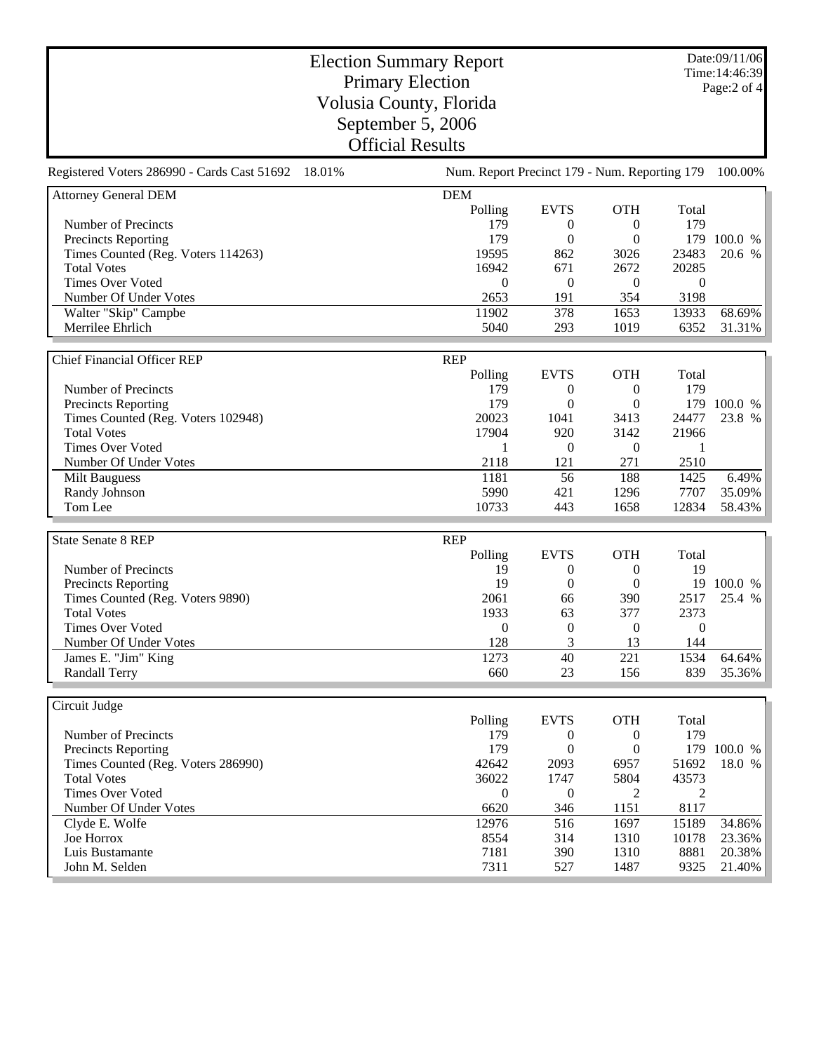Date:09/11/06 Time:14:46:39 Page:2 of 4

## Election Summary Report Primary Election Volusia County, Florida September 5, 2006 Official Results

| Registered Voters 286990 - Cards Cast 51692 18.01% | Num. Report Precinct 179 - Num. Reporting 179 |                  |                  |                  | 100.00%     |
|----------------------------------------------------|-----------------------------------------------|------------------|------------------|------------------|-------------|
| <b>Attorney General DEM</b>                        | <b>DEM</b>                                    |                  |                  |                  |             |
|                                                    | Polling                                       | <b>EVTS</b>      | <b>OTH</b>       | Total            |             |
| Number of Precincts                                | 179                                           | $\theta$         | $\overline{0}$   | 179              |             |
| <b>Precincts Reporting</b>                         | 179                                           | $\boldsymbol{0}$ | $\mathbf{0}$     |                  | 179 100.0 % |
| Times Counted (Reg. Voters 114263)                 | 19595                                         | 862              | 3026             | 23483            | 20.6 %      |
| <b>Total Votes</b>                                 | 16942                                         | 671              | 2672             | 20285            |             |
| <b>Times Over Voted</b>                            | $\mathbf{0}$                                  | $\boldsymbol{0}$ | $\overline{0}$   | $\mathbf{0}$     |             |
| Number Of Under Votes                              | 2653                                          | 191              | 354              | 3198             |             |
| Walter "Skip" Campbe                               | 11902                                         | $\frac{1}{378}$  | 1653             | 13933            | 68.69%      |
| Merrilee Ehrlich                                   | 5040                                          | 293              | 1019             | 6352             | 31.31%      |
|                                                    |                                               |                  |                  |                  |             |
| <b>Chief Financial Officer REP</b>                 | <b>REP</b>                                    |                  |                  |                  |             |
|                                                    | Polling                                       | <b>EVTS</b>      | <b>OTH</b>       | Total            |             |
| Number of Precincts                                | 179                                           | $\boldsymbol{0}$ | $\boldsymbol{0}$ | 179              |             |
| <b>Precincts Reporting</b>                         | 179                                           | $\boldsymbol{0}$ | $\mathbf{0}$     |                  | 179 100.0 % |
| Times Counted (Reg. Voters 102948)                 | 20023                                         | 1041             | 3413             | 24477            | 23.8 %      |
| <b>Total Votes</b>                                 | 17904                                         | 920              | 3142             | 21966            |             |
| <b>Times Over Voted</b>                            | 1                                             | $\theta$         | $\theta$         | 1                |             |
| Number Of Under Votes                              | 2118                                          | 121              | 271              | 2510             |             |
| <b>Milt Bauguess</b>                               | 1181                                          | 56               | 188              | 1425             | 6.49%       |
| Randy Johnson                                      | 5990                                          | 421              | 1296             | 7707             | 35.09%      |
| Tom Lee                                            | 10733                                         | 443              | 1658             | 12834            | 58.43%      |
|                                                    |                                               |                  |                  |                  |             |
| <b>State Senate 8 REP</b>                          | <b>REP</b>                                    |                  |                  |                  |             |
|                                                    | Polling                                       | <b>EVTS</b>      | <b>OTH</b>       | Total            |             |
| Number of Precincts                                | 19                                            | $\boldsymbol{0}$ | $\overline{0}$   | 19               |             |
| Precincts Reporting                                | 19                                            | $\overline{0}$   | $\boldsymbol{0}$ |                  | 19 100.0 %  |
| Times Counted (Reg. Voters 9890)                   | 2061                                          | 66               | 390              | 2517             | 25.4 %      |
| <b>Total Votes</b>                                 | 1933                                          | 63               | 377              | 2373             |             |
| <b>Times Over Voted</b>                            | $\boldsymbol{0}$                              | $\boldsymbol{0}$ | $\boldsymbol{0}$ | $\boldsymbol{0}$ |             |
| Number Of Under Votes                              | 128                                           | 3                | 13               | 144              |             |
| James E. "Jim" King                                | 1273                                          | $\overline{40}$  | $\overline{221}$ | 1534             | 64.64%      |
| <b>Randall Terry</b>                               | 660                                           | 23               | 156              | 839              | 35.36%      |
|                                                    |                                               |                  |                  |                  |             |
| Circuit Judge                                      |                                               |                  |                  |                  |             |
|                                                    | Polling                                       | <b>EVTS</b>      | <b>OTH</b>       | Total            |             |
| Number of Precincts                                | 179                                           | $\boldsymbol{0}$ | $\boldsymbol{0}$ | 179              |             |
| <b>Precincts Reporting</b>                         | 179                                           | $\boldsymbol{0}$ | $\boldsymbol{0}$ | 179              | 100.0 %     |
| Times Counted (Reg. Voters 286990)                 | 42642                                         | 2093             | 6957             | 51692            | 18.0 %      |
| <b>Total Votes</b>                                 | 36022                                         | 1747             | 5804             | 43573            |             |
| <b>Times Over Voted</b>                            | $\Omega$                                      | $\boldsymbol{0}$ | 2                | $\overline{2}$   |             |
| Number Of Under Votes                              | 6620                                          | 346              | 1151             | 8117             |             |
| Clyde E. Wolfe                                     | 12976                                         | 516              | 1697             | 15189            | 34.86%      |
|                                                    |                                               |                  |                  |                  |             |

Joe Horrox 8554 314 1310 10178 23.36% 19 Joe Horrox 23.36% Luis Bustamante 2011 1310 10178 23.36% Luis Bustamante 20138 20.38% Luis Bustamante John M. Selden 7311 527 1487 9325 21.40%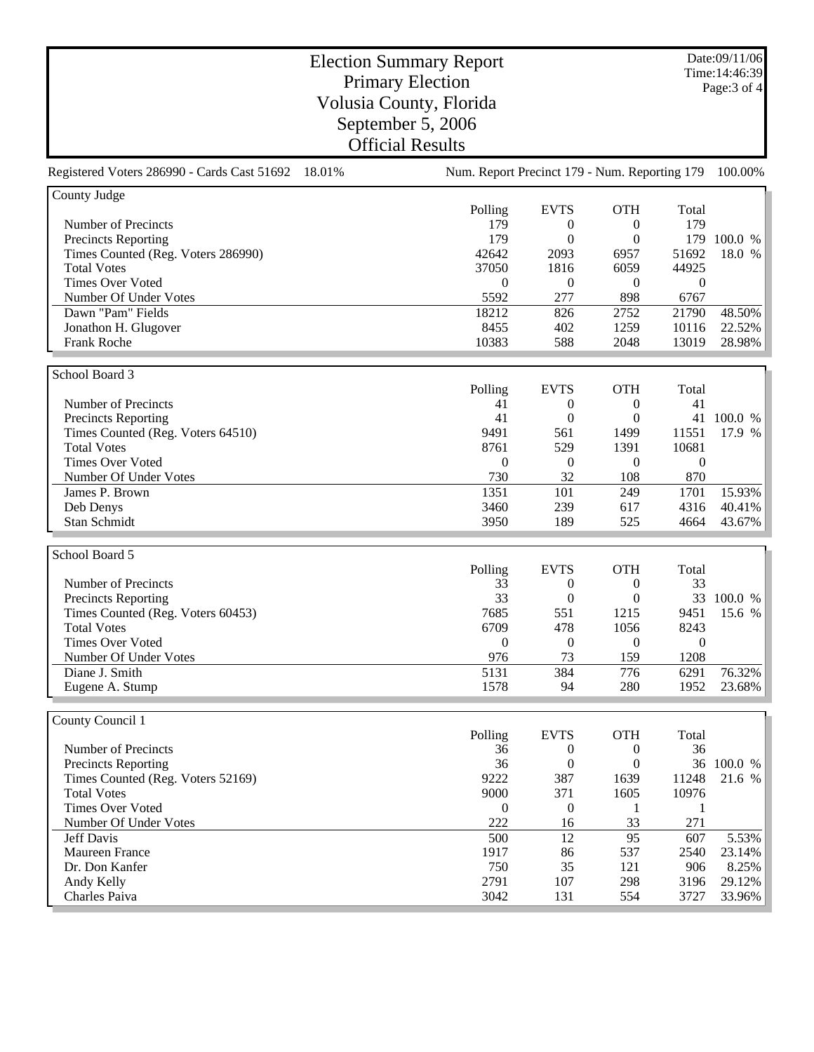Date:09/11/06 Time:14:46:39 Page:3 of 4

## Election Summary Report Primary Election Volusia County, Florida September 5, 2006 Official Results

Registered Voters 286990 - Cards Cast 51692 18.01% Num. Report Precinct 179 - Num. Reporting 179 100.00%

| County Judge                       |            |                |            |                               |         |
|------------------------------------|------------|----------------|------------|-------------------------------|---------|
|                                    | Polling    | <b>EVTS</b>    | <b>OTH</b> | Total                         |         |
| Number of Precincts                | 179        | 0              | $_{0}$     | 179                           |         |
| <b>Precincts Reporting</b>         | 179        | 0              | $^{(1)}$   | 179                           | 100.0 % |
| Times Counted (Reg. Voters 286990) | 42642      | 2093           | 6957       | 51692                         | 18.0 %  |
| <b>Total Votes</b>                 | 37050      | 1816           | 6059       | 44925                         |         |
| <b>Times Over Voted</b>            | $\Omega$   | $\theta$       | $\Omega$   | $\overline{0}$                |         |
| Number Of Under Votes              | 5592       | 277            | 898        | 6767                          |         |
| Dawn "Pam" Fields                  | 18212      | 826            | 2752       | 21790                         | 48.50%  |
| Jonathon H. Glugover               | 8455       | 402            | 1259       | 10116                         | 22.52%  |
| Frank Roche                        | 10383      | 588            | 2048       | 13019                         | 28.98%  |
|                                    |            |                |            |                               |         |
| School Board 3                     |            |                |            |                               |         |
|                                    | Polling    | <b>EVTS</b>    | <b>OTH</b> | Total                         |         |
| Number of Precincts                | 41         | $\theta$       | $\Omega$   | 41                            |         |
| Precincts Reporting                | 41         | 0              | $\Omega$   | 41                            | 100.0 % |
| Times Counted (Reg. Voters 64510)  | 9491       | 561            | 1499       | 11551                         | 17.9 %  |
| <b>Total Votes</b>                 | 8761       | 529            | 1391       | 10681                         |         |
| <b>Times Over Voted</b>            | 0          | $\overline{0}$ | 0          | $\boldsymbol{0}$              |         |
| Number Of Under Votes              | 730        | 32             | 108        | 870                           |         |
| James P. Brown                     | 1351       | 101            | 249        | 1701                          | 15.93%  |
| Deb Denys                          | 3460       | 239            | 617        | 4316                          | 40.41%  |
| Stan Schmidt                       | 3950       | 189            | 525        | 4664                          | 43.67%  |
|                                    |            |                |            |                               |         |
| School Board 5                     |            |                |            |                               |         |
|                                    | $D0$ lling | EVTC           | $\cap$ TU  | $T_{\alpha \uparrow \alpha}1$ |         |

|                                   | Polling  | <b>EVTS</b> | <b>OTH</b> | Total |         |
|-----------------------------------|----------|-------------|------------|-------|---------|
| Number of Precincts               | 33       | 0           |            | 33    |         |
| <b>Precincts Reporting</b>        | 33       | 0           |            | 33    | 100.0 % |
| Times Counted (Reg. Voters 60453) | 7685     | 551         | 1215       | 9451  | 15.6 %  |
| <b>Total Votes</b>                | 6709     | 478         | 1056       | 8243  |         |
| Times Over Voted                  | $\theta$ | 0           |            |       |         |
| Number Of Under Votes             | 976      | 73          | 159        | 1208  |         |
| Diane J. Smith                    | 5131     | 384         | 776        | 6291  | 76.32%  |
| Eugene A. Stump                   | 1578     | 94          | 280        | 1952  | 23.68%  |

| County Council 1                  |          |             |            |       |         |
|-----------------------------------|----------|-------------|------------|-------|---------|
|                                   | Polling  | <b>EVTS</b> | <b>OTH</b> | Total |         |
| Number of Precincts               | 36       | 0           |            | 36    |         |
| <b>Precincts Reporting</b>        | 36       | 0           |            | 36    | 100.0 % |
| Times Counted (Reg. Voters 52169) | 9222     | 387         | 1639       | 11248 | 21.6 %  |
| <b>Total Votes</b>                | 9000     | 371         | 1605       | 10976 |         |
| Times Over Voted                  | $\Omega$ | 0           |            |       |         |
| Number Of Under Votes             | 222      | 16          | 33         | 271   |         |
| <b>Jeff Davis</b>                 | 500      | 12          | 95         | 607   | 5.53%   |
| Maureen France                    | 1917     | 86          | 537        | 2540  | 23.14%  |
| Dr. Don Kanfer                    | 750      | 35          | 121        | 906   | 8.25%   |
| Andy Kelly                        | 2791     | 107         | 298        | 3196  | 29.12%  |
| Charles Paiva                     | 3042     | 131         | 554        | 3727  | 33.96%  |
|                                   |          |             |            |       |         |